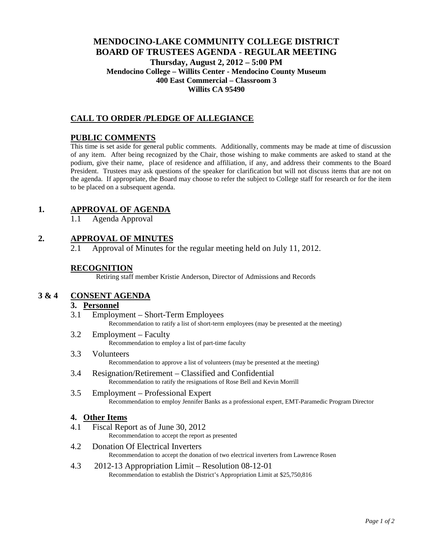# **MENDOCINO-LAKE COMMUNITY COLLEGE DISTRICT BOARD OF TRUSTEES AGENDA** - **REGULAR MEETING Thursday, August 2, 2012 – 5:00 PM Mendocino College – Willits Center - Mendocino County Museum 400 East Commercial – Classroom 3 Willits CA 95490**

# **CALL TO ORDER /PLEDGE OF ALLEGIANCE**

#### **PUBLIC COMMENTS**

This time is set aside for general public comments. Additionally, comments may be made at time of discussion of any item. After being recognized by the Chair, those wishing to make comments are asked to stand at the podium, give their name, place of residence and affiliation, if any, and address their comments to the Board President. Trustees may ask questions of the speaker for clarification but will not discuss items that are not on the agenda. If appropriate, the Board may choose to refer the subject to College staff for research or for the item to be placed on a subsequent agenda.

### **1. APPROVAL OF AGENDA**

1.1 Agenda Approval

# **2. APPROVAL OF MINUTES**

2.1 Approval of Minutes for the regular meeting held on July 11, 2012.

### **RECOGNITION**

Retiring staff member Kristie Anderson, Director of Admissions and Records

# **3 & 4 CONSENT AGENDA**

#### **3. Personnel**

- 3.1 Employment Short-Term Employees Recommendation to ratify a list of short-term employees (may be presented at the meeting)
- 3.2 Employment Faculty Recommendation to employ a list of part-time faculty
- 3.3 Volunteers Recommendation to approve a list of volunteers (may be presented at the meeting)
- 3.4 Resignation/Retirement Classified and Confidential Recommendation to ratify the resignations of Rose Bell and Kevin Morrill
- 3.5 Employment Professional Expert Recommendation to employ Jennifer Banks as a professional expert, EMT-Paramedic Program Director

#### **4. Other Items**

4.1 Fiscal Report as of June 30, 2012

Recommendation to accept the report as presented

- 4.2 Donation Of Electrical Inverters Recommendation to accept the donation of two electrical inverters from Lawrence Rosen
- 4.3 2012-13 Appropriation Limit Resolution 08-12-01 Recommendation to establish the District's Appropriation Limit at \$25,750,816